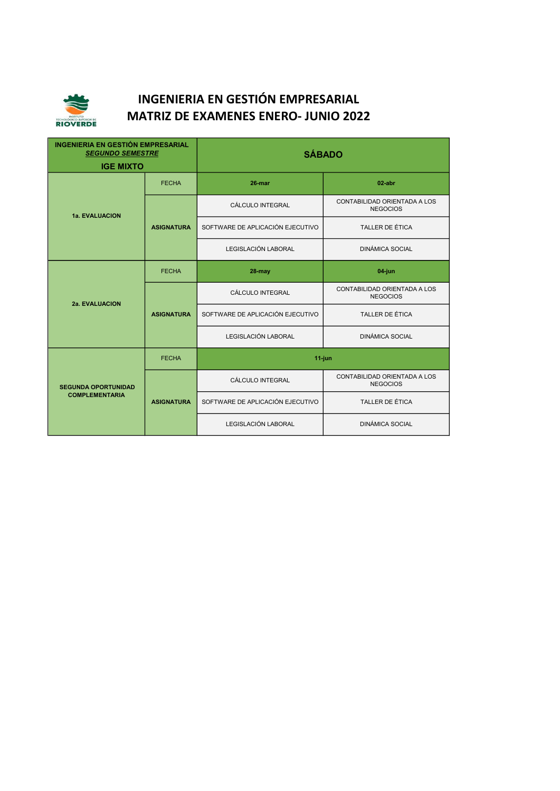

| <b>INGENIERIA EN GESTIÓN EMPRESARIAL</b><br><b>SEGUNDO SEMESTRE</b><br><b>IGE MIXTO</b> |                   | <b>SÁBADO</b>                    |                                                 |
|-----------------------------------------------------------------------------------------|-------------------|----------------------------------|-------------------------------------------------|
| 1a. EVALUACION                                                                          | <b>FECHA</b>      | 26-mar                           | $02$ -abr                                       |
|                                                                                         | <b>ASIGNATURA</b> | CÁLCULO INTEGRAL                 | CONTABILIDAD ORIENTADA A LOS<br><b>NEGOCIOS</b> |
|                                                                                         |                   | SOFTWARE DE APLICACIÓN EJECUTIVO | TALLER DE ÉTICA                                 |
|                                                                                         |                   | LEGISLACIÓN LABORAL              | <b>DINÁMICA SOCIAL</b>                          |
| 2a. EVALUACION                                                                          | <b>FECHA</b>      | 28-may                           | 04-jun                                          |
|                                                                                         | <b>ASIGNATURA</b> | CÁLCULO INTEGRAL                 | CONTABILIDAD ORIENTADA A LOS<br><b>NEGOCIOS</b> |
|                                                                                         |                   | SOFTWARE DE APLICACIÓN EJECUTIVO | <b>TALLER DE ÉTICA</b>                          |
|                                                                                         |                   | LEGISLACIÓN LABORAL              | <b>DINÁMICA SOCIAL</b>                          |
| <b>SEGUNDA OPORTUNIDAD</b><br><b>COMPLEMENTARIA</b>                                     | <b>FECHA</b>      | $11$ -jun                        |                                                 |
|                                                                                         | <b>ASIGNATURA</b> | CÁLCULO INTEGRAL                 | CONTABILIDAD ORIENTADA A LOS<br><b>NEGOCIOS</b> |
|                                                                                         |                   | SOFTWARE DE APLICACIÓN EJECUTIVO | <b>TALLER DE ÉTICA</b>                          |
|                                                                                         |                   | LEGISLACIÓN LABORAL              | <b>DINÁMICA SOCIAL</b>                          |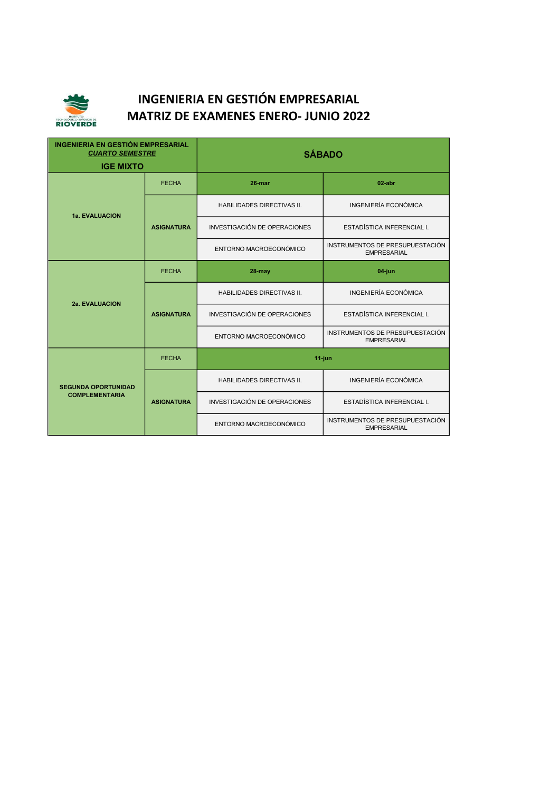

| <b>INGENIERIA EN GESTIÓN EMPRESARIAL</b><br><b>CUARTO SEMESTRE</b><br><b>IGE MIXTO</b> |                   | <b>SÁBADO</b>                       |                                                       |
|----------------------------------------------------------------------------------------|-------------------|-------------------------------------|-------------------------------------------------------|
| <b>1a. EVALUACION</b>                                                                  | <b>FECHA</b>      | 26-mar                              | $02$ -abr                                             |
|                                                                                        | <b>ASIGNATURA</b> | <b>HABILIDADES DIRECTIVAS II.</b>   | INGENIERÍA ECONÓMICA                                  |
|                                                                                        |                   | <b>INVESTIGACIÓN DE OPERACIONES</b> | ESTADÍSTICA INFERENCIAL I.                            |
|                                                                                        |                   | ENTORNO MACROECONÓMICO              | INSTRUMENTOS DE PRESUPUESTACIÓN<br><b>EMPRESARIAL</b> |
| <b>2a. EVALUACION</b>                                                                  | <b>FECHA</b>      | 28-may                              | 04-jun                                                |
|                                                                                        | <b>ASIGNATURA</b> | HABILIDADES DIRECTIVAS II.          | INGENIERÍA ECONÓMICA                                  |
|                                                                                        |                   | <b>INVESTIGACIÓN DE OPERACIONES</b> | ESTADÍSTICA INFERENCIAL I.                            |
|                                                                                        |                   | ENTORNO MACROECONÓMICO              | INSTRUMENTOS DE PRESUPUESTACIÓN<br><b>EMPRESARIAL</b> |
|                                                                                        | <b>FECHA</b>      | $11$ -jun                           |                                                       |
| <b>SEGUNDA OPORTUNIDAD</b><br><b>COMPLEMENTARIA</b>                                    | <b>ASIGNATURA</b> | HABILIDADES DIRECTIVAS II.          | INGENIERÍA ECONÓMICA                                  |
|                                                                                        |                   | <b>INVESTIGACIÓN DE OPERACIONES</b> | ESTADÍSTICA INFERENCIAL I.                            |
|                                                                                        |                   | ENTORNO MACROECONÓMICO              | INSTRUMENTOS DE PRESUPUESTACIÓN<br><b>EMPRESARIAL</b> |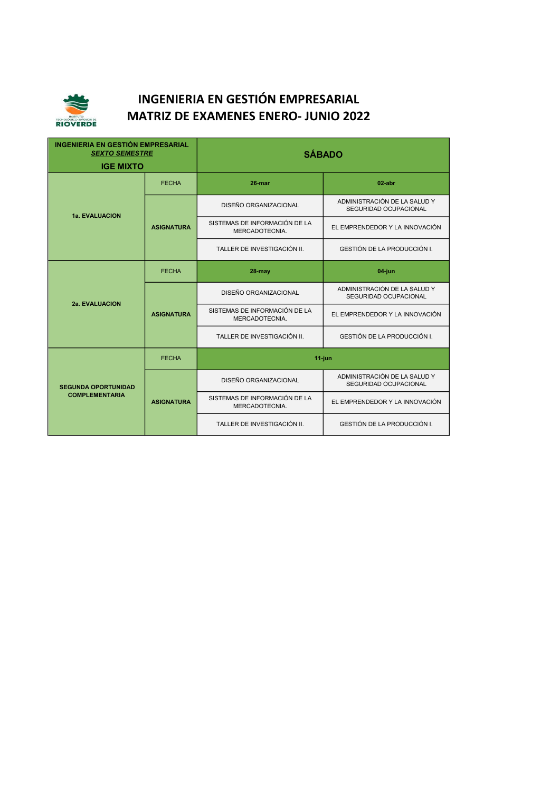

| <b>INGENIERIA EN GESTIÓN EMPRESARIAL</b><br><b>SEXTO SEMESTRE</b><br><b>IGE MIXTO</b> |                   | <b>SÁBADO</b>                                   |                                                       |
|---------------------------------------------------------------------------------------|-------------------|-------------------------------------------------|-------------------------------------------------------|
| <b>1a. EVALUACION</b>                                                                 | <b>FECHA</b>      | 26-mar                                          | $02$ -abr                                             |
|                                                                                       | <b>ASIGNATURA</b> | DISEÑO ORGANIZACIONAL                           | ADMINISTRACIÓN DE LA SALUD Y<br>SEGURIDAD OCUPACIONAL |
|                                                                                       |                   | SISTEMAS DE INFORMACIÓN DE LA<br>MERCADOTECNIA. | EL EMPRENDEDOR Y LA INNOVACIÓN                        |
|                                                                                       |                   | TALLER DE INVESTIGACIÓN II.                     | GESTIÓN DE LA PRODUCCIÓN I.                           |
| <b>2a. EVALUACION</b>                                                                 | <b>FECHA</b>      | 28-may                                          | 04-jun                                                |
|                                                                                       | <b>ASIGNATURA</b> | DISEÑO ORGANIZACIONAL                           | ADMINISTRACIÓN DE LA SALUD Y<br>SEGURIDAD OCUPACIONAL |
|                                                                                       |                   | SISTEMAS DE INFORMACIÓN DE LA<br>MERCADOTECNIA. | EL EMPRENDEDOR Y LA INNOVACIÓN                        |
|                                                                                       |                   | TALLER DE INVESTIGACIÓN II.                     | GESTIÓN DE LA PRODUCCIÓN I.                           |
| <b>SEGUNDA OPORTUNIDAD</b><br><b>COMPLEMENTARIA</b>                                   | <b>FECHA</b>      | $11$ -jun                                       |                                                       |
|                                                                                       | <b>ASIGNATURA</b> | DISEÑO ORGANIZACIONAL                           | ADMINISTRACIÓN DE LA SALUD Y<br>SEGURIDAD OCUPACIONAL |
|                                                                                       |                   | SISTEMAS DE INFORMACIÓN DE LA<br>MERCADOTECNIA. | EL EMPRENDEDOR Y LA INNOVACIÓN                        |
|                                                                                       |                   | TALLER DE INVESTIGACIÓN II.                     | GESTIÓN DE LA PRODUCCIÓN I.                           |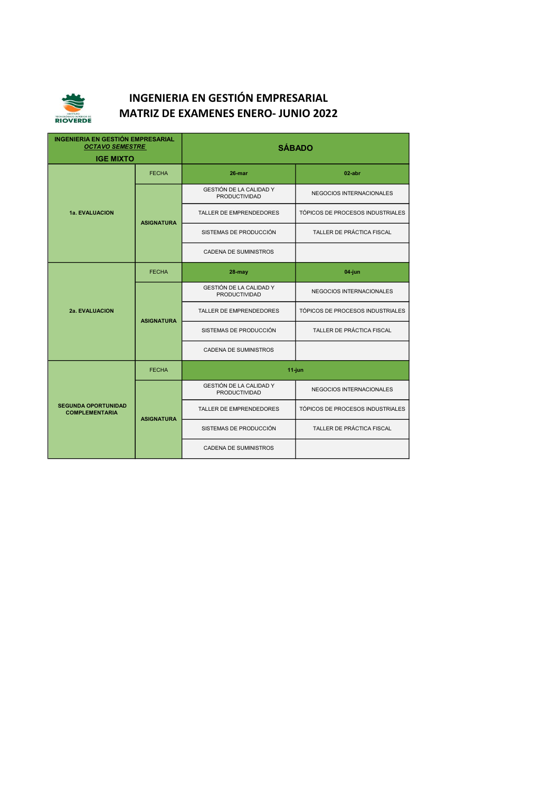

| <b>INGENIERIA EN GESTIÓN EMPRESARIAL</b><br><b>OCTAVO SEMESTRE</b><br><b>IGE MIXTO</b> |                   | <b>SÁBADO</b>                                          |                                  |
|----------------------------------------------------------------------------------------|-------------------|--------------------------------------------------------|----------------------------------|
| 1a. EVALUACION                                                                         | <b>FECHA</b>      | 26-mar                                                 | $02$ -abr                        |
|                                                                                        | <b>ASIGNATURA</b> | GESTIÓN DE LA CALIDAD Y<br><b>PRODUCTIVIDAD</b>        | NEGOCIOS INTERNACIONALES         |
|                                                                                        |                   | <b>TALLER DE EMPRENDEDORES</b>                         | TÓPICOS DE PROCESOS INDUSTRIALES |
|                                                                                        |                   | SISTEMAS DE PRODUCCIÓN                                 | TALLER DE PRÁCTICA FISCAL        |
|                                                                                        |                   | <b>CADENA DE SUMINISTROS</b>                           |                                  |
| <b>2a. EVALUACION</b>                                                                  | <b>FECHA</b>      | 28-may                                                 | 04-jun                           |
|                                                                                        | <b>ASIGNATURA</b> | GESTIÓN DE LA CALIDAD Y<br><b>PRODUCTIVIDAD</b>        | NEGOCIOS INTERNACIONALES         |
|                                                                                        |                   | <b>TALLER DE EMPRENDEDORES</b>                         | TÓPICOS DE PROCESOS INDUSTRIALES |
|                                                                                        |                   | SISTEMAS DE PRODUCCIÓN                                 | TALLER DE PRÁCTICA FISCAL        |
|                                                                                        |                   | <b>CADENA DE SUMINISTROS</b>                           |                                  |
|                                                                                        | <b>FECHA</b>      | $11$ -jun                                              |                                  |
| <b>SEGUNDA OPORTUNIDAD</b><br><b>COMPLEMENTARIA</b>                                    | <b>ASIGNATURA</b> | <b>GESTIÓN DE LA CALIDAD Y</b><br><b>PRODUCTIVIDAD</b> | NEGOCIOS INTERNACIONALES         |
|                                                                                        |                   | <b>TALLER DE EMPRENDEDORES</b>                         | TÓPICOS DE PROCESOS INDUSTRIALES |
|                                                                                        |                   | SISTEMAS DE PRODUCCIÓN                                 | TALLER DE PRÁCTICA FISCAL        |
|                                                                                        |                   | <b>CADENA DE SUMINISTROS</b>                           |                                  |